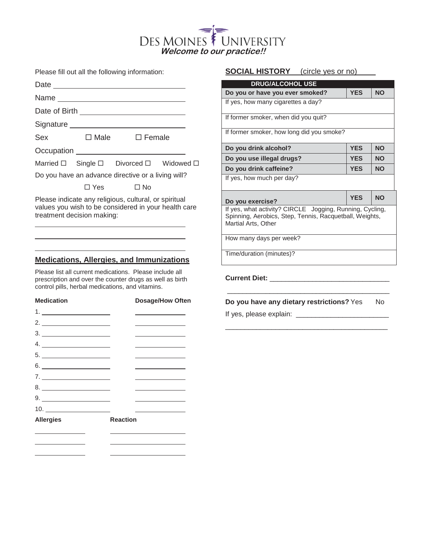# UNIVERSITY **DES MOINES Welcome to our practice!!**

Please fill out all the following information:

|                                                    |                              | Name ___________________________        |  |
|----------------------------------------------------|------------------------------|-----------------------------------------|--|
|                                                    |                              |                                         |  |
|                                                    | Signature __________________ |                                         |  |
| Sex                                                | □ Male □ Female              |                                         |  |
|                                                    |                              | Occupation _____________________        |  |
|                                                    |                              | Married □ Single □ Divorced □ Widowed □ |  |
| Do you have an advance directive or a living will? |                              |                                         |  |
|                                                    | ∃ Yes                        | No                                      |  |

Please indicate any religious, cultural, or spiritual values you wish to be considered in your health care treatment decision making:

## **Medications, Allergies, and Immunizations**

Please list all current medications. Please include all prescription and over the counter drugs as well as birth control pills, herbal medications, and vitamins.

| <b>Medication</b>                                                                                                                                                                                                                                                                                                                                                                                                                                         | <b>Dosage/How Often</b>                                                    |
|-----------------------------------------------------------------------------------------------------------------------------------------------------------------------------------------------------------------------------------------------------------------------------------------------------------------------------------------------------------------------------------------------------------------------------------------------------------|----------------------------------------------------------------------------|
|                                                                                                                                                                                                                                                                                                                                                                                                                                                           |                                                                            |
| 2. $\qquad \qquad$                                                                                                                                                                                                                                                                                                                                                                                                                                        | the control of the control of the control of the                           |
|                                                                                                                                                                                                                                                                                                                                                                                                                                                           | the control of the control of the control of the control of the control of |
|                                                                                                                                                                                                                                                                                                                                                                                                                                                           |                                                                            |
| $\begin{array}{c}\n5.\n\end{array}$                                                                                                                                                                                                                                                                                                                                                                                                                       |                                                                            |
| $6. \underline{\hspace{2.0cm} \underline{\hspace{2.0cm}}\hspace{2.2cm}}\hspace{2.2cm} \underline{\hspace{2.0cm}}\hspace{2.2cm}}\hspace{2.2cm}\underline{\hspace{2.2cm}}\hspace{2.2cm}}\hspace{2.2cm}\underline{\hspace{2.2cm}}\hspace{2.2cm}}\hspace{2.2cm}\underline{\hspace{2.2cm}}\hspace{2.2cm}}\hspace{2.2cm}\underline{\hspace{2.2cm}}\hspace{2.2cm}}\hspace{2.2cm}\underline{\hspace{2.2cm}}\hspace{2.2cm}}\hspace{2.2cm}\underline{\hspace{2.2cm$ |                                                                            |
| 7.                                                                                                                                                                                                                                                                                                                                                                                                                                                        |                                                                            |
|                                                                                                                                                                                                                                                                                                                                                                                                                                                           |                                                                            |
|                                                                                                                                                                                                                                                                                                                                                                                                                                                           | the control of the control of the control of the control of the control of |
|                                                                                                                                                                                                                                                                                                                                                                                                                                                           |                                                                            |
| <b>Allergies</b>                                                                                                                                                                                                                                                                                                                                                                                                                                          | <b>Reaction</b>                                                            |
|                                                                                                                                                                                                                                                                                                                                                                                                                                                           |                                                                            |
|                                                                                                                                                                                                                                                                                                                                                                                                                                                           |                                                                            |
|                                                                                                                                                                                                                                                                                                                                                                                                                                                           |                                                                            |

# **SOCIAL HISTORY** (circle yes or no)

| <b>DRUG/ALCOHOL USE</b>                                                                                                                    |            |           |  |
|--------------------------------------------------------------------------------------------------------------------------------------------|------------|-----------|--|
| Do you or have you ever smoked?                                                                                                            | <b>YES</b> | <b>NO</b> |  |
| If yes, how many cigarettes a day?                                                                                                         |            |           |  |
| If former smoker, when did you quit?                                                                                                       |            |           |  |
| If former smoker, how long did you smoke?                                                                                                  |            |           |  |
| Do you drink alcohol?                                                                                                                      | <b>YES</b> | <b>NO</b> |  |
| Do you use illegal drugs?                                                                                                                  | <b>YES</b> | <b>NO</b> |  |
| Do you drink caffeine?                                                                                                                     | <b>YES</b> | <b>NO</b> |  |
| If yes, how much per day?                                                                                                                  |            |           |  |
| Do you exercise?                                                                                                                           | <b>YES</b> | <b>NO</b> |  |
| If yes, what activity? CIRCLE Jogging, Running, Cycling,<br>Spinning, Aerobics, Step, Tennis, Racquetball, Weights,<br>Martial Arts, Other |            |           |  |
| How many days per week?                                                                                                                    |            |           |  |
| Time/duration (minutes)?                                                                                                                   |            |           |  |

**Current Diet:** \_\_\_\_\_\_\_\_\_\_\_\_\_\_\_\_\_\_\_\_\_\_\_\_\_\_\_\_\_\_\_

**Do you have any dietary restrictions?** Yes No

\_\_\_\_\_\_\_\_\_\_\_\_\_\_\_\_\_\_\_\_\_\_\_\_\_\_\_\_\_\_\_\_\_\_\_\_\_\_\_\_\_\_

\_\_\_\_\_\_\_\_\_\_\_\_\_\_\_\_\_\_\_\_\_\_\_\_\_\_\_\_\_\_\_\_\_\_\_\_\_\_\_\_\_\_

If yes, please explain: \_\_\_\_\_\_\_\_\_\_\_\_\_\_\_\_\_\_\_\_\_\_\_\_